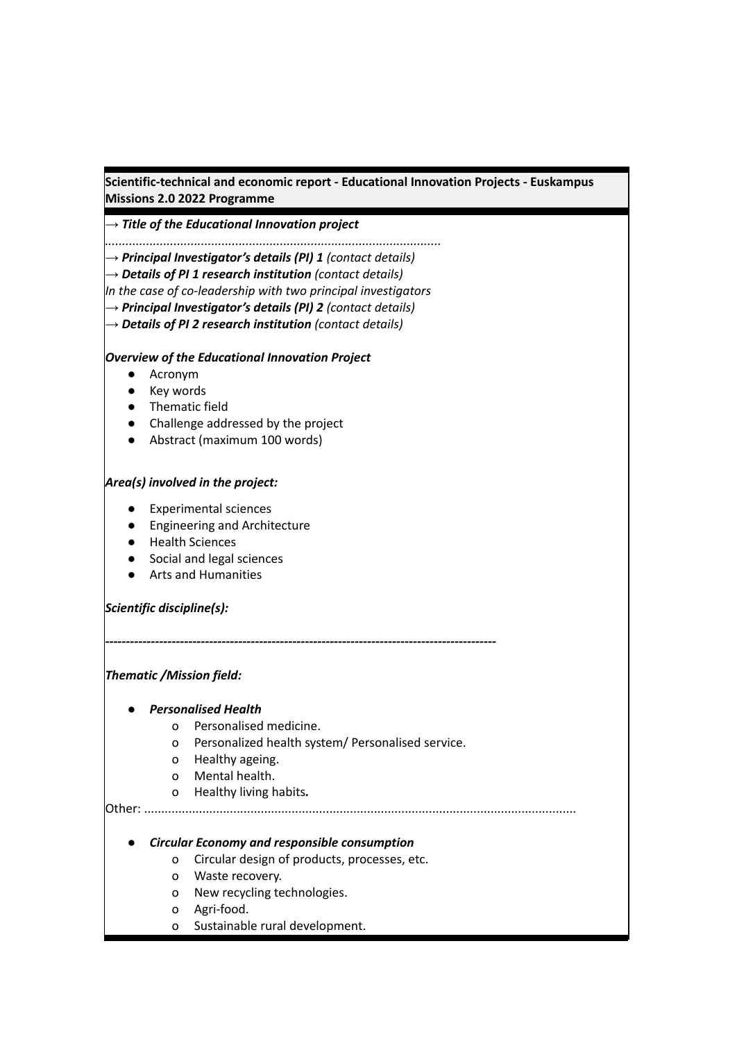**Scientific-technical and economic report - Educational Innovation Projects - Euskampus Missions 2.0 2022 Programme**

*→ Title of the Educational Innovation project*

*..................................................................................................*

*→ Principal Investigator's details (PI) 1 (contact details)*

*→ Details of PI 1 research institution (contact details)*

*In the case of co-leadership with two principal investigators*

*→ Principal Investigator's details (PI) 2 (contact details)*

*→ Details of PI 2 research institution (contact details)*

#### *Overview of the Educational Innovation Project*

- Acronym
- Key words
- Thematic field
- Challenge addressed by the project
- Abstract (maximum 100 words)

# *Area(s) involved in the project:*

- Experimental sciences
- Engineering and Architecture
- Health Sciences
- Social and legal sciences
- Arts and Humanities

### *Scientific discipline(s):*

*Thematic /Mission field:*

### *● Personalised Health*

- o Personalised medicine.
- o Personalized health system/ Personalised service.

*----------------------------------------------------------------------------------------------*

- o Healthy ageing.
- o Mental health.
- o Healthy living habits*.*

Other: ..............................................................................................................................

### *● Circular Economy and responsible consumption*

- o Circular design of products, processes, etc.
- o Waste recovery.
- o New recycling technologies.
- o Agri-food.
- o Sustainable rural development.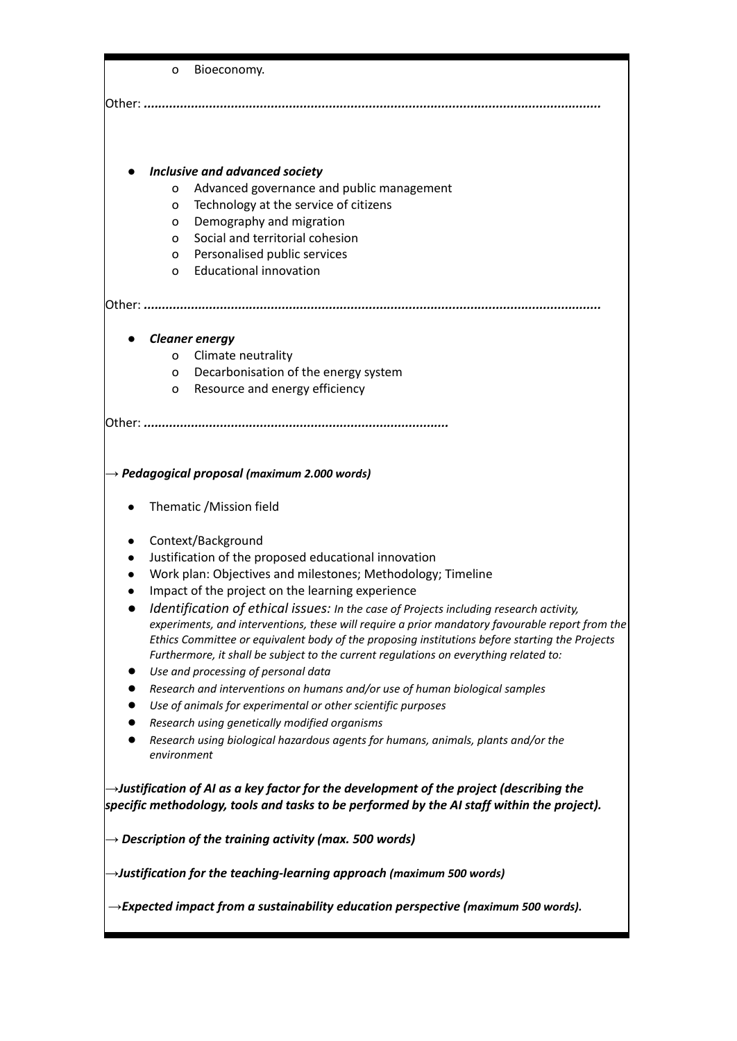|                                                                                                | o                                                                                                                                                                                                                                                                                                                                                                                    | Bioeconomy.                                                                                                                                 |
|------------------------------------------------------------------------------------------------|--------------------------------------------------------------------------------------------------------------------------------------------------------------------------------------------------------------------------------------------------------------------------------------------------------------------------------------------------------------------------------------|---------------------------------------------------------------------------------------------------------------------------------------------|
|                                                                                                |                                                                                                                                                                                                                                                                                                                                                                                      |                                                                                                                                             |
|                                                                                                |                                                                                                                                                                                                                                                                                                                                                                                      | Inclusive and advanced society                                                                                                              |
|                                                                                                | o                                                                                                                                                                                                                                                                                                                                                                                    | Advanced governance and public management                                                                                                   |
|                                                                                                | o                                                                                                                                                                                                                                                                                                                                                                                    | Technology at the service of citizens                                                                                                       |
|                                                                                                | O                                                                                                                                                                                                                                                                                                                                                                                    | Demography and migration                                                                                                                    |
|                                                                                                | 0                                                                                                                                                                                                                                                                                                                                                                                    | Social and territorial cohesion                                                                                                             |
|                                                                                                | 0                                                                                                                                                                                                                                                                                                                                                                                    | Personalised public services                                                                                                                |
|                                                                                                | O                                                                                                                                                                                                                                                                                                                                                                                    | <b>Educational innovation</b>                                                                                                               |
|                                                                                                |                                                                                                                                                                                                                                                                                                                                                                                      |                                                                                                                                             |
|                                                                                                |                                                                                                                                                                                                                                                                                                                                                                                      | <b>Cleaner energy</b>                                                                                                                       |
|                                                                                                | 0                                                                                                                                                                                                                                                                                                                                                                                    | Climate neutrality                                                                                                                          |
|                                                                                                | 0<br>o                                                                                                                                                                                                                                                                                                                                                                               | Decarbonisation of the energy system<br>Resource and energy efficiency                                                                      |
|                                                                                                |                                                                                                                                                                                                                                                                                                                                                                                      |                                                                                                                                             |
|                                                                                                |                                                                                                                                                                                                                                                                                                                                                                                      |                                                                                                                                             |
|                                                                                                |                                                                                                                                                                                                                                                                                                                                                                                      |                                                                                                                                             |
|                                                                                                |                                                                                                                                                                                                                                                                                                                                                                                      | $\rightarrow$ Pedagogical proposal (maximum 2.000 words)                                                                                    |
|                                                                                                | Thematic /Mission field                                                                                                                                                                                                                                                                                                                                                              |                                                                                                                                             |
|                                                                                                |                                                                                                                                                                                                                                                                                                                                                                                      | Context/Background                                                                                                                          |
|                                                                                                |                                                                                                                                                                                                                                                                                                                                                                                      | Justification of the proposed educational innovation                                                                                        |
|                                                                                                |                                                                                                                                                                                                                                                                                                                                                                                      | Work plan: Objectives and milestones; Methodology; Timeline                                                                                 |
|                                                                                                |                                                                                                                                                                                                                                                                                                                                                                                      | Impact of the project on the learning experience                                                                                            |
|                                                                                                | Identification of ethical issues: In the case of Projects including research activity,<br>experiments, and interventions, these will require a prior mandatory favourable report from the<br>Ethics Committee or equivalent body of the proposing institutions before starting the Projects<br>Furthermore, it shall be subject to the current regulations on everything related to: |                                                                                                                                             |
|                                                                                                |                                                                                                                                                                                                                                                                                                                                                                                      | Use and processing of personal data                                                                                                         |
|                                                                                                |                                                                                                                                                                                                                                                                                                                                                                                      | Research and interventions on humans and/or use of human biological samples<br>Use of animals for experimental or other scientific purposes |
|                                                                                                |                                                                                                                                                                                                                                                                                                                                                                                      | Research using genetically modified organisms                                                                                               |
|                                                                                                | environment                                                                                                                                                                                                                                                                                                                                                                          | Research using biological hazardous agents for humans, animals, plants and/or the                                                           |
|                                                                                                |                                                                                                                                                                                                                                                                                                                                                                                      | $\rightarrow$ Justification of AI as a key factor for the development of the project (describing the                                        |
|                                                                                                |                                                                                                                                                                                                                                                                                                                                                                                      | specific methodology, tools and tasks to be performed by the AI staff within the project).                                                  |
|                                                                                                |                                                                                                                                                                                                                                                                                                                                                                                      | $\rightarrow$ Description of the training activity (max. 500 words)                                                                         |
| $\rightarrow$ Justification for the teaching-learning approach (maximum 500 words)             |                                                                                                                                                                                                                                                                                                                                                                                      |                                                                                                                                             |
| $\rightarrow$ Expected impact from a sustainability education perspective (maximum 500 words). |                                                                                                                                                                                                                                                                                                                                                                                      |                                                                                                                                             |
|                                                                                                |                                                                                                                                                                                                                                                                                                                                                                                      |                                                                                                                                             |